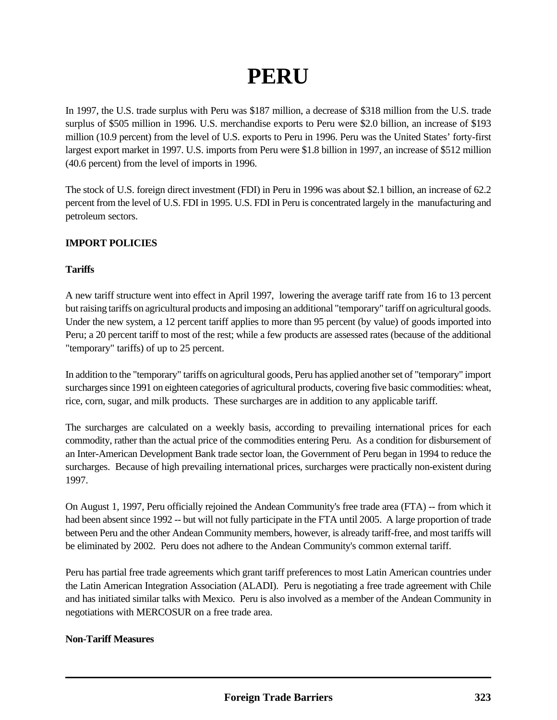# **PERU**

In 1997, the U.S. trade surplus with Peru was \$187 million, a decrease of \$318 million from the U.S. trade surplus of \$505 million in 1996. U.S. merchandise exports to Peru were \$2.0 billion, an increase of \$193 million (10.9 percent) from the level of U.S. exports to Peru in 1996. Peru was the United States' forty-first largest export market in 1997. U.S. imports from Peru were \$1.8 billion in 1997, an increase of \$512 million (40.6 percent) from the level of imports in 1996.

The stock of U.S. foreign direct investment (FDI) in Peru in 1996 was about \$2.1 billion, an increase of 62.2 percent from the level of U.S. FDI in 1995. U.S. FDI in Peru is concentrated largely in the manufacturing and petroleum sectors.

## **IMPORT POLICIES**

## **Tariffs**

A new tariff structure went into effect in April 1997, lowering the average tariff rate from 16 to 13 percent but raising tariffs on agricultural products and imposing an additional "temporary" tariff on agricultural goods. Under the new system, a 12 percent tariff applies to more than 95 percent (by value) of goods imported into Peru; a 20 percent tariff to most of the rest; while a few products are assessed rates (because of the additional "temporary" tariffs) of up to 25 percent.

In addition to the "temporary" tariffs on agricultural goods, Peru has applied another set of "temporary" import surcharges since 1991 on eighteen categories of agricultural products, covering five basic commodities: wheat, rice, corn, sugar, and milk products. These surcharges are in addition to any applicable tariff.

The surcharges are calculated on a weekly basis, according to prevailing international prices for each commodity, rather than the actual price of the commodities entering Peru. As a condition for disbursement of an Inter-American Development Bank trade sector loan, the Government of Peru began in 1994 to reduce the surcharges. Because of high prevailing international prices, surcharges were practically non-existent during 1997.

On August 1, 1997, Peru officially rejoined the Andean Community's free trade area (FTA) -- from which it had been absent since 1992 -- but will not fully participate in the FTA until 2005. A large proportion of trade between Peru and the other Andean Community members, however, is already tariff-free, and most tariffs will be eliminated by 2002. Peru does not adhere to the Andean Community's common external tariff.

Peru has partial free trade agreements which grant tariff preferences to most Latin American countries under the Latin American Integration Association (ALADI). Peru is negotiating a free trade agreement with Chile and has initiated similar talks with Mexico. Peru is also involved as a member of the Andean Community in negotiations with MERCOSUR on a free trade area.

#### **Non-Tariff Measures**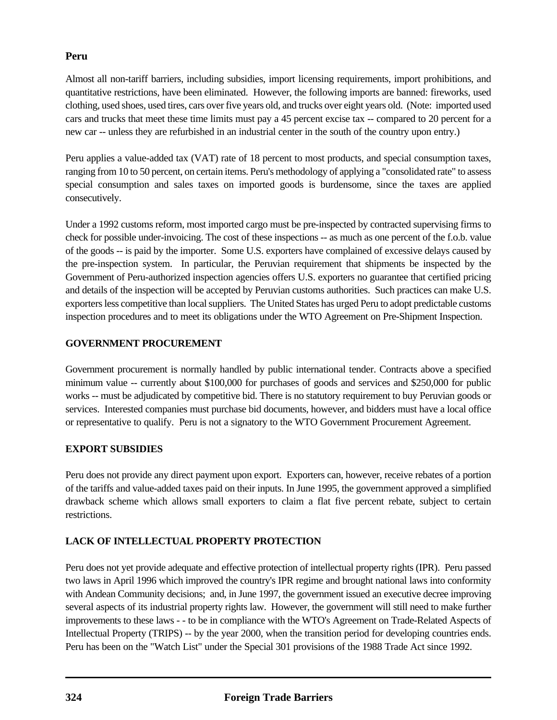## **Peru**

Almost all non-tariff barriers, including subsidies, import licensing requirements, import prohibitions, and quantitative restrictions, have been eliminated. However, the following imports are banned: fireworks, used clothing, used shoes, used tires, cars over five years old, and trucks over eight years old. (Note: imported used cars and trucks that meet these time limits must pay a 45 percent excise tax -- compared to 20 percent for a new car -- unless they are refurbished in an industrial center in the south of the country upon entry.)

Peru applies a value-added tax (VAT) rate of 18 percent to most products, and special consumption taxes, ranging from 10 to 50 percent, on certain items. Peru's methodology of applying a "consolidated rate" to assess special consumption and sales taxes on imported goods is burdensome, since the taxes are applied consecutively.

Under a 1992 customs reform, most imported cargo must be pre-inspected by contracted supervising firms to check for possible under-invoicing. The cost of these inspections -- as much as one percent of the f.o.b. value of the goods -- is paid by the importer. Some U.S. exporters have complained of excessive delays caused by the pre-inspection system. In particular, the Peruvian requirement that shipments be inspected by the Government of Peru-authorized inspection agencies offers U.S. exporters no guarantee that certified pricing and details of the inspection will be accepted by Peruvian customs authorities. Such practices can make U.S. exporters less competitive than local suppliers. The United States has urged Peru to adopt predictable customs inspection procedures and to meet its obligations under the WTO Agreement on Pre-Shipment Inspection.

## **GOVERNMENT PROCUREMENT**

Government procurement is normally handled by public international tender. Contracts above a specified minimum value -- currently about \$100,000 for purchases of goods and services and \$250,000 for public works -- must be adjudicated by competitive bid. There is no statutory requirement to buy Peruvian goods or services. Interested companies must purchase bid documents, however, and bidders must have a local office or representative to qualify. Peru is not a signatory to the WTO Government Procurement Agreement.

## **EXPORT SUBSIDIES**

Peru does not provide any direct payment upon export. Exporters can, however, receive rebates of a portion of the tariffs and value-added taxes paid on their inputs. In June 1995, the government approved a simplified drawback scheme which allows small exporters to claim a flat five percent rebate, subject to certain restrictions.

# **LACK OF INTELLECTUAL PROPERTY PROTECTION**

Peru does not yet provide adequate and effective protection of intellectual property rights (IPR). Peru passed two laws in April 1996 which improved the country's IPR regime and brought national laws into conformity with Andean Community decisions; and, in June 1997, the government issued an executive decree improving several aspects of its industrial property rights law. However, the government will still need to make further improvements to these laws - - to be in compliance with the WTO's Agreement on Trade-Related Aspects of Intellectual Property (TRIPS) -- by the year 2000, when the transition period for developing countries ends. Peru has been on the "Watch List" under the Special 301 provisions of the 1988 Trade Act since 1992.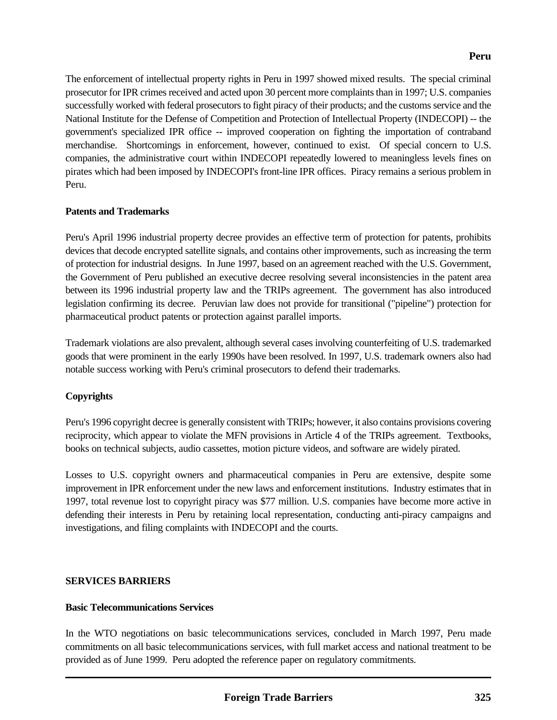The enforcement of intellectual property rights in Peru in 1997 showed mixed results. The special criminal prosecutor for IPR crimes received and acted upon 30 percent more complaints than in 1997; U.S. companies successfully worked with federal prosecutors to fight piracy of their products; and the customs service and the National Institute for the Defense of Competition and Protection of Intellectual Property (INDECOPI) -- the government's specialized IPR office -- improved cooperation on fighting the importation of contraband merchandise. Shortcomings in enforcement, however, continued to exist. Of special concern to U.S. companies, the administrative court within INDECOPI repeatedly lowered to meaningless levels fines on pirates which had been imposed by INDECOPI's front-line IPR offices. Piracy remains a serious problem in Peru.

#### **Patents and Trademarks**

Peru's April 1996 industrial property decree provides an effective term of protection for patents, prohibits devices that decode encrypted satellite signals, and contains other improvements, such as increasing the term of protection for industrial designs. In June 1997, based on an agreement reached with the U.S. Government, the Government of Peru published an executive decree resolving several inconsistencies in the patent area between its 1996 industrial property law and the TRIPs agreement. The government has also introduced legislation confirming its decree. Peruvian law does not provide for transitional ("pipeline") protection for pharmaceutical product patents or protection against parallel imports.

Trademark violations are also prevalent, although several cases involving counterfeiting of U.S. trademarked goods that were prominent in the early 1990s have been resolved. In 1997, U.S. trademark owners also had notable success working with Peru's criminal prosecutors to defend their trademarks.

## **Copyrights**

Peru's 1996 copyright decree is generally consistent with TRIPs; however, it also contains provisions covering reciprocity, which appear to violate the MFN provisions in Article 4 of the TRIPs agreement. Textbooks, books on technical subjects, audio cassettes, motion picture videos, and software are widely pirated.

Losses to U.S. copyright owners and pharmaceutical companies in Peru are extensive, despite some improvement in IPR enforcement under the new laws and enforcement institutions. Industry estimates that in 1997, total revenue lost to copyright piracy was \$77 million. U.S. companies have become more active in defending their interests in Peru by retaining local representation, conducting anti-piracy campaigns and investigations, and filing complaints with INDECOPI and the courts.

## **SERVICES BARRIERS**

## **Basic Telecommunications Services**

In the WTO negotiations on basic telecommunications services, concluded in March 1997, Peru made commitments on all basic telecommunications services, with full market access and national treatment to be provided as of June 1999. Peru adopted the reference paper on regulatory commitments.